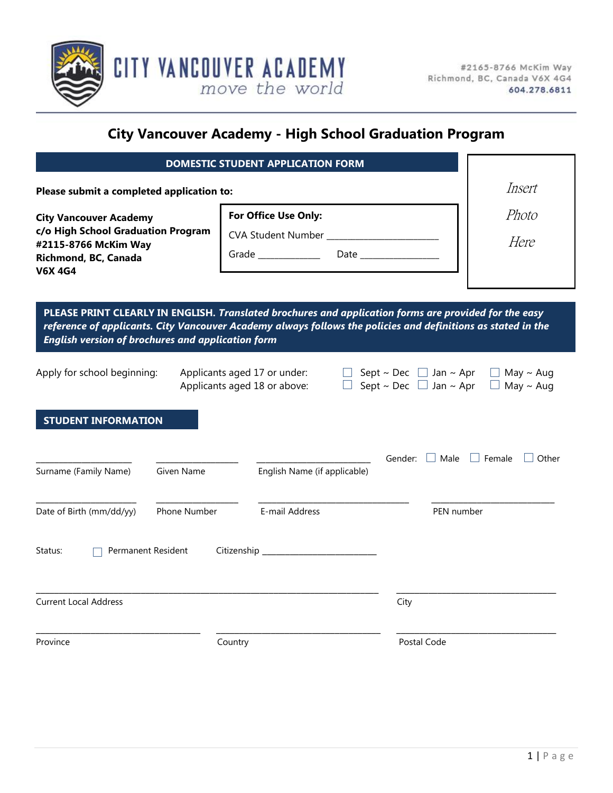

# **City Vancouver Academy - High School Graduation Program**

|                                                                                                                                       |              | <b>DOMESTIC STUDENT APPLICATION FORM</b>                                                                  |                                                                                                                                                                                                                       |                                      |
|---------------------------------------------------------------------------------------------------------------------------------------|--------------|-----------------------------------------------------------------------------------------------------------|-----------------------------------------------------------------------------------------------------------------------------------------------------------------------------------------------------------------------|--------------------------------------|
| Please submit a completed application to:                                                                                             | Insert       |                                                                                                           |                                                                                                                                                                                                                       |                                      |
| <b>City Vancouver Academy</b><br>c/o High School Graduation Program<br>#2115-8766 McKim Way<br>Richmond, BC, Canada<br><b>V6X 4G4</b> |              | For Office Use Only:<br>CVA Student Number _______________________<br>Grade ______________<br><b>Date</b> |                                                                                                                                                                                                                       | Photo<br>Here                        |
| <b>English version of brochures and application form</b>                                                                              |              |                                                                                                           | PLEASE PRINT CLEARLY IN ENGLISH. Translated brochures and application forms are provided for the easy<br>reference of applicants. City Vancouver Academy always follows the policies and definitions as stated in the |                                      |
| Apply for school beginning:                                                                                                           |              | Applicants aged 17 or under:<br>Applicants aged 18 or above:                                              | Sept ~ Dec $\Box$ Jan ~ Apr<br>Sept ~ Dec $\Box$ Jan ~ Apr                                                                                                                                                            | $\Box$ May ~ Aug<br>$\Box$ May ~ Aug |
| <b>STUDENT INFORMATION</b>                                                                                                            |              |                                                                                                           | Gender: $\Box$ Male $\Box$ Female                                                                                                                                                                                     | Other                                |
| Surname (Family Name)                                                                                                                 | Given Name   | English Name (if applicable)                                                                              |                                                                                                                                                                                                                       |                                      |
| Date of Birth (mm/dd/yy)                                                                                                              | Phone Number | E-mail Address                                                                                            |                                                                                                                                                                                                                       | PEN number                           |
| Permanent Resident<br>Status:                                                                                                         |              |                                                                                                           |                                                                                                                                                                                                                       |                                      |
| <b>Current Local Address</b>                                                                                                          |              |                                                                                                           | City                                                                                                                                                                                                                  |                                      |
| Province                                                                                                                              |              | Country                                                                                                   | Postal Code                                                                                                                                                                                                           |                                      |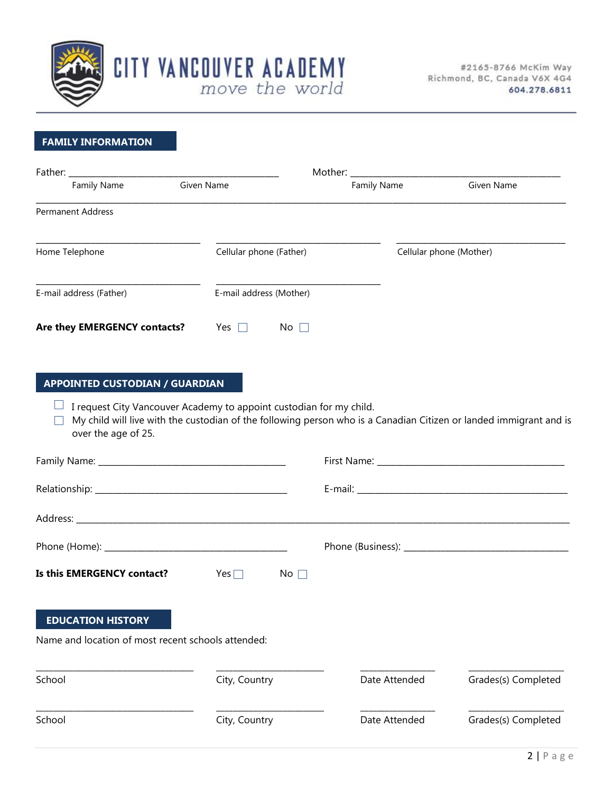

## **FAMILY INFORMATION**

| Father:                      |                         | Mother: |                    |                         |
|------------------------------|-------------------------|---------|--------------------|-------------------------|
| <b>Family Name</b>           | Given Name              |         | <b>Family Name</b> | Given Name              |
| <b>Permanent Address</b>     |                         |         |                    |                         |
| Home Telephone               | Cellular phone (Father) |         |                    | Cellular phone (Mother) |
| E-mail address (Father)      | E-mail address (Mother) |         |                    |                         |
| Are they EMERGENCY contacts? | Yes                     | No.     |                    |                         |

## **APPOINTED CUSTODIAN / GUARDIAN**

 $\Box$  I request City Vancouver Academy to appoint custodian for my child.

 $\Box$  My child will live with the custodian of the following person who is a Canadian Citizen or landed immigrant and is over the age of 25.

| Is this EMERGENCY contact?                         | Yes $\Box$<br>$No \ \Box$ |               |                     |
|----------------------------------------------------|---------------------------|---------------|---------------------|
| <b>EDUCATION HISTORY</b>                           |                           |               |                     |
| Name and location of most recent schools attended: |                           |               |                     |
| School                                             | City, Country             | Date Attended | Grades(s) Completed |
| School                                             | City, Country             | Date Attended | Grades(s) Completed |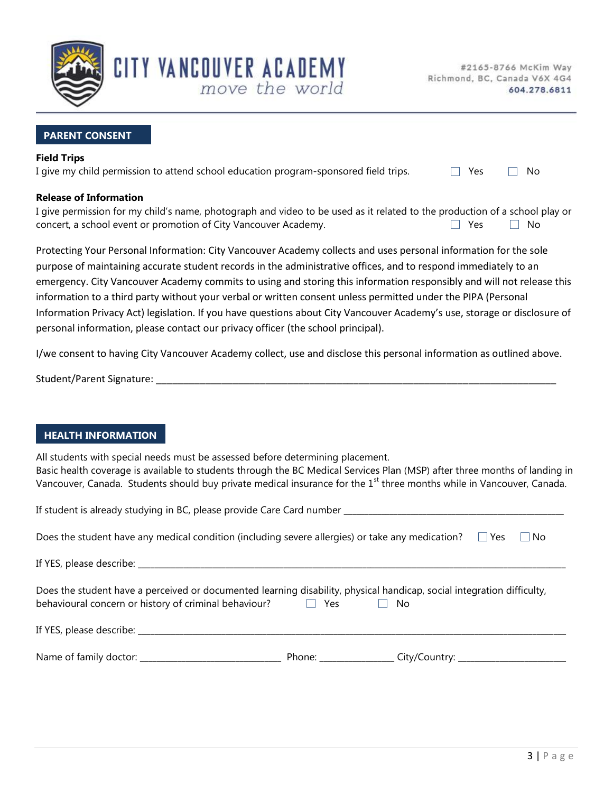

## **PARENT CONSENT**

### **Field Trips**

| I give my child permission to attend school education program-sponsored field trips.<br>□ Yes □ No |  |
|----------------------------------------------------------------------------------------------------|--|

move the world

CITY VANCOUVER ACADEMY

## **Release of Information**

| I give permission for my child's name, photograph and video to be used as it related to the production of a school play or |                                                                                                                 |  |
|----------------------------------------------------------------------------------------------------------------------------|-----------------------------------------------------------------------------------------------------------------|--|
| concert, a school event or promotion of City Vancouver Academy.                                                            | No Prester No. 12 No. 12 No. 12 No. 12 No. 12 No. 12 No. 12 No. 12 No. 12 No. 12 No. 12 No. 12 No. 12 No. 12 No |  |

Protecting Your Personal Information: City Vancouver Academy collects and uses personal information for the sole purpose of maintaining accurate student records in the administrative offices, and to respond immediately to an emergency. City Vancouver Academy commits to using and storing this information responsibly and will not release this information to a third party without your verbal or written consent unless permitted under the PIPA (Personal Information Privacy Act) legislation. If you have questions about City Vancouver Academy's use, storage or disclosure of personal information, please contact our privacy officer (the school principal).

I/we consent to having City Vancouver Academy collect, use and disclose this personal information as outlined above.

| Student/Parent Signature: |  |
|---------------------------|--|
|                           |  |

## **HEALTH INFORMATION**

All students with special needs must be assessed before determining placement. Basic health coverage is available to students through the BC Medical Services Plan (MSP) after three months of landing in Vancouver, Canada. Students should buy private medical insurance for the 1<sup>st</sup> three months while in Vancouver, Canada.

| Does the student have any medical condition (including severe allergies) or take any medication? $\square$ Yes<br>l No                                                                               |  |  |  |  |
|------------------------------------------------------------------------------------------------------------------------------------------------------------------------------------------------------|--|--|--|--|
|                                                                                                                                                                                                      |  |  |  |  |
| Does the student have a perceived or documented learning disability, physical handicap, social integration difficulty,<br>behavioural concern or history of criminal behaviour?<br><b>Yes</b><br>No. |  |  |  |  |
|                                                                                                                                                                                                      |  |  |  |  |
|                                                                                                                                                                                                      |  |  |  |  |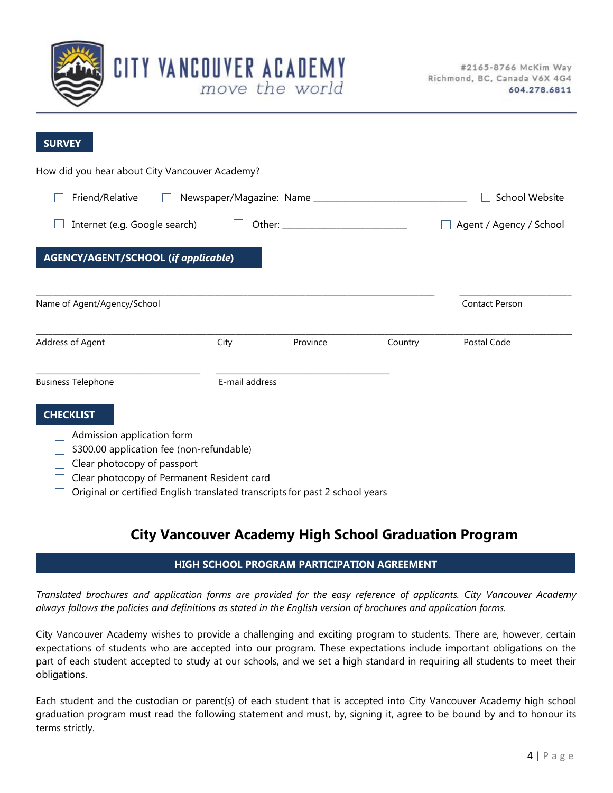

| <b>SURVEY</b>                                                                |                         |          |         |                       |
|------------------------------------------------------------------------------|-------------------------|----------|---------|-----------------------|
| How did you hear about City Vancouver Academy?                               |                         |          |         |                       |
| Friend/Relative                                                              |                         |          |         | <b>School Website</b> |
| Internet (e.g. Google search)                                                | Agent / Agency / School |          |         |                       |
| <b>AGENCY/AGENT/SCHOOL (if applicable)</b>                                   |                         |          |         |                       |
| Name of Agent/Agency/School                                                  |                         |          |         | <b>Contact Person</b> |
| Address of Agent                                                             | City                    | Province | Country | Postal Code           |
| <b>Business Telephone</b>                                                    | E-mail address          |          |         |                       |
| <b>CHECKLIST</b>                                                             |                         |          |         |                       |
| Admission application form                                                   |                         |          |         |                       |
| \$300.00 application fee (non-refundable)                                    |                         |          |         |                       |
| Clear photocopy of passport                                                  |                         |          |         |                       |
| Clear photocopy of Permanent Resident card                                   |                         |          |         |                       |
| Original or certified English translated transcripts for past 2 school years |                         |          |         |                       |

**CITY VANCOUVER ACADEMY** 

move the world

## **City Vancouver Academy High School Graduation Program**

## **HIGH SCHOOL PROGRAM PARTICIPATION AGREEMENT**

*Translated brochures and application forms are provided for the easy reference of applicants. City Vancouver Academy always follows the policies and definitions as stated in the English version of brochures and application forms.* 

City Vancouver Academy wishes to provide a challenging and exciting program to students. There are, however, certain expectations of students who are accepted into our program. These expectations include important obligations on the part of each student accepted to study at our schools, and we set a high standard in requiring all students to meet their obligations.

Each student and the custodian or parent(s) of each student that is accepted into City Vancouver Academy high school graduation program must read the following statement and must, by, signing it, agree to be bound by and to honour its terms strictly.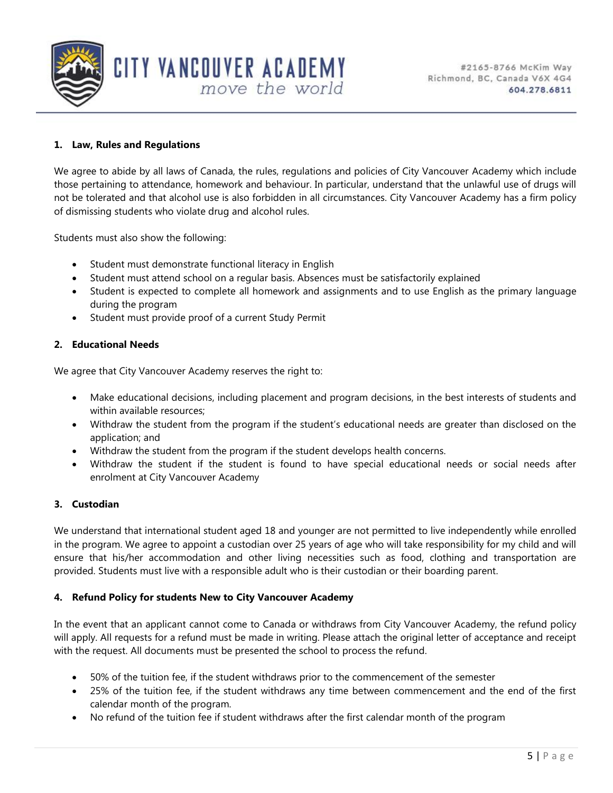

## **1. Law, Rules and Regulations**

We agree to abide by all laws of Canada, the rules, regulations and policies of City Vancouver Academy which include those pertaining to attendance, homework and behaviour. In particular, understand that the unlawful use of drugs will not be tolerated and that alcohol use is also forbidden in all circumstances. City Vancouver Academy has a firm policy of dismissing students who violate drug and alcohol rules.

Students must also show the following:

Student must demonstrate functional literacy in English

CITY VANCOUVER ACADEMY

Student must attend school on a regular basis. Absences must be satisfactorily explained

move the world

- Student is expected to complete all homework and assignments and to use English as the primary language during the program
- Student must provide proof of a current Study Permit

## **2. Educational Needs**

We agree that City Vancouver Academy reserves the right to:

- Make educational decisions, including placement and program decisions, in the best interests of students and within available resources;
- Withdraw the student from the program if the student's educational needs are greater than disclosed on the application; and
- Withdraw the student from the program if the student develops health concerns.
- Withdraw the student if the student is found to have special educational needs or social needs after enrolment at City Vancouver Academy

## **3. Custodian**

We understand that international student aged 18 and younger are not permitted to live independently while enrolled in the program. We agree to appoint a custodian over 25 years of age who will take responsibility for my child and will ensure that his/her accommodation and other living necessities such as food, clothing and transportation are provided. Students must live with a responsible adult who is their custodian or their boarding parent.

## **4. Refund Policy for students New to City Vancouver Academy**

In the event that an applicant cannot come to Canada or withdraws from City Vancouver Academy, the refund policy will apply. All requests for a refund must be made in writing. Please attach the original letter of acceptance and receipt with the request. All documents must be presented the school to process the refund.

- 50% of the tuition fee, if the student withdraws prior to the commencement of the semester
- 25% of the tuition fee, if the student withdraws any time between commencement and the end of the first calendar month of the program.
- No refund of the tuition fee if student withdraws after the first calendar month of the program